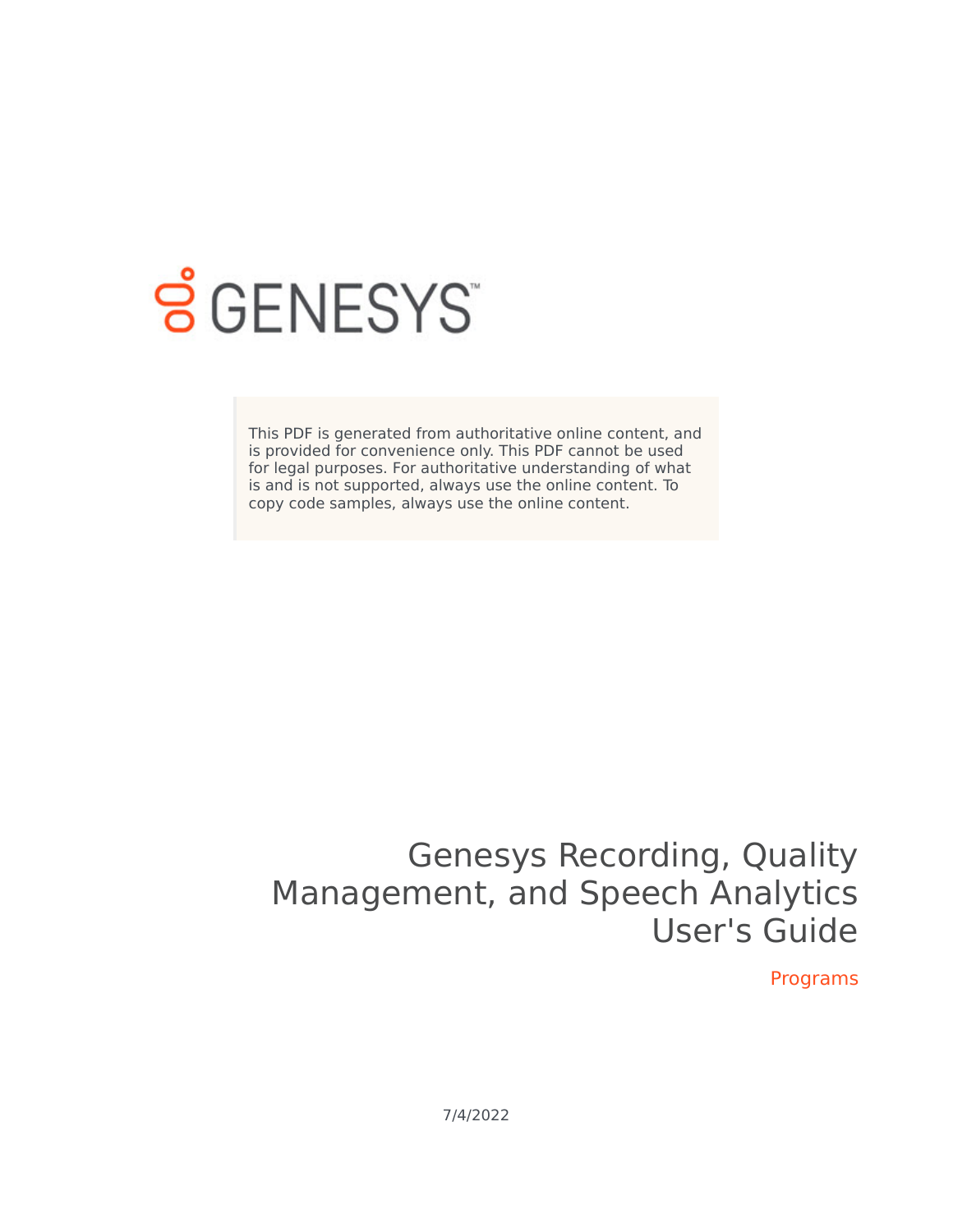

# **SGENESYS**

This PDF is generated from authoritative online content, and is provided for convenience only. This PDF cannot be used for legal purposes. For authoritative understanding of what is and is not supported, always use the online content. To copy code samples, always use the online content.

## Genesys Recording, Quality Management, and Speech Analytics User's Guide

Programs

7/4/2022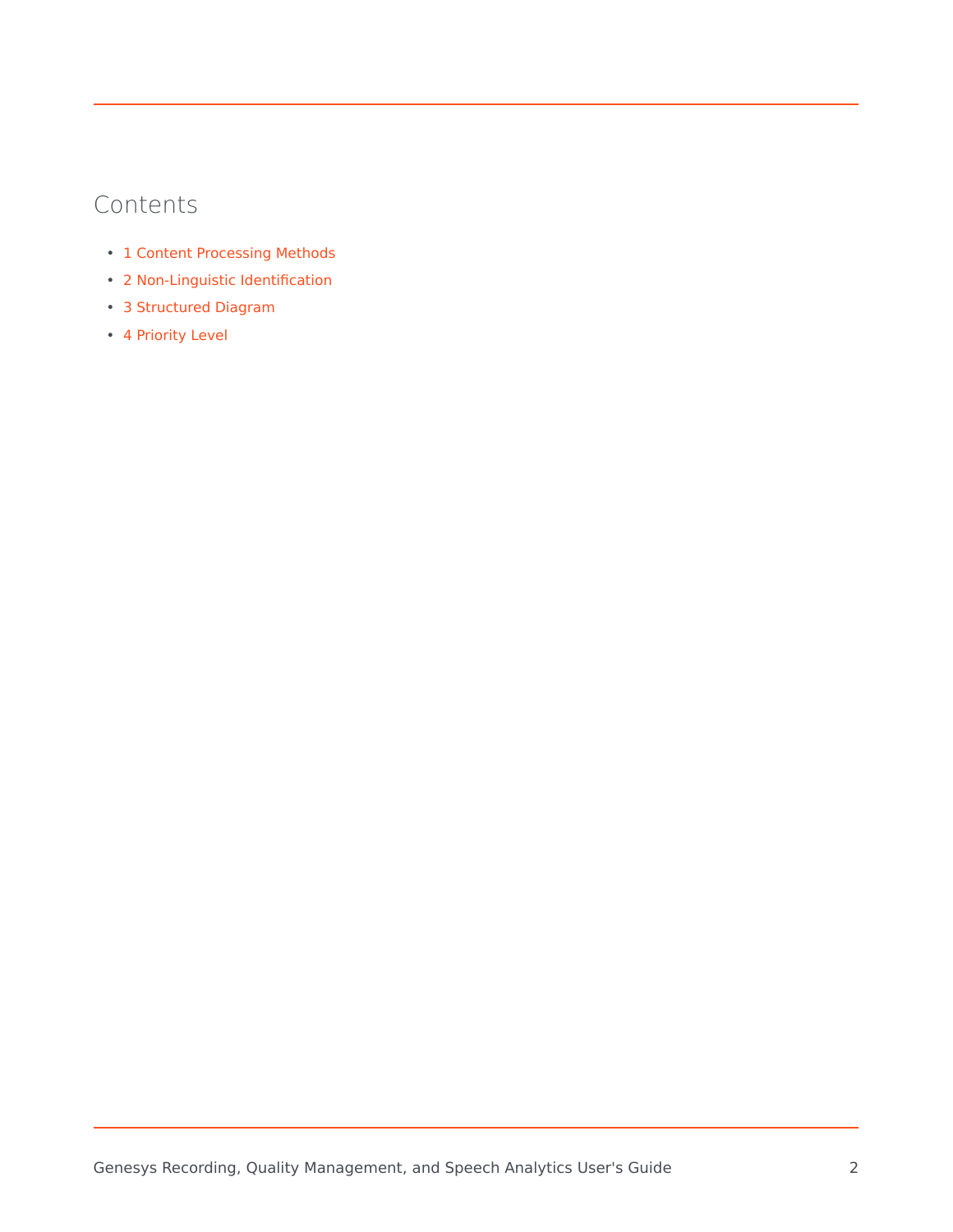#### Contents

- 1 [Content Processing Methods](#page-2-0)
- 2 [Non-Linguistic Identification](#page-3-0)
- 3 [Structured Diagram](#page-4-0)
- 4 [Priority Level](#page-4-1)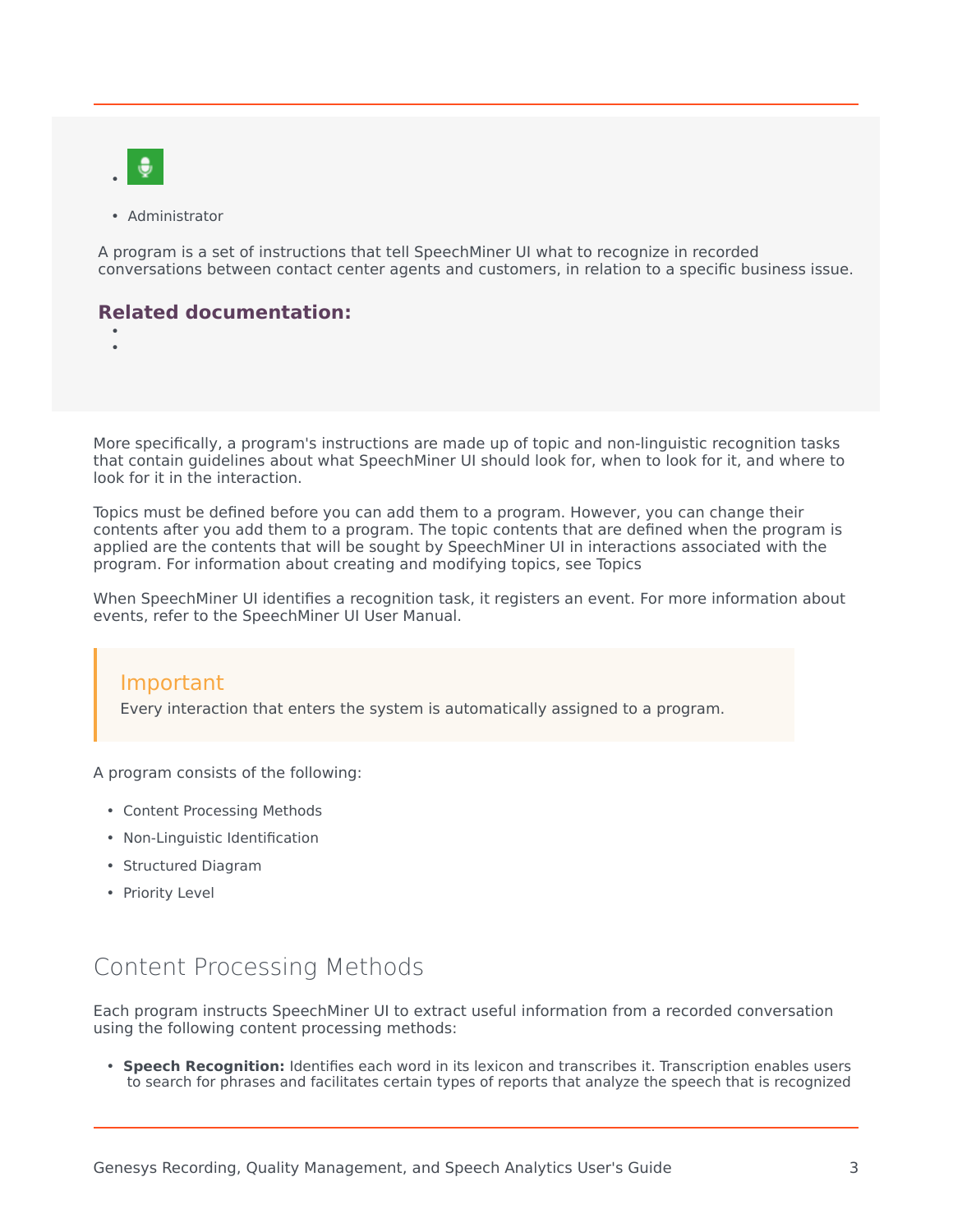

• •

• Administrator

A program is a set of instructions that tell SpeechMiner UI what to recognize in recorded conversations between contact center agents and customers, in relation to a specific business issue.

#### **Related documentation:**

More specifically, a program's instructions are made up of topic and non-linguistic recognition tasks that contain guidelines about what SpeechMiner UI should look for, when to look for it, and where to look for it in the interaction.

Topics must be defined before you can add them to a program. However, you can change their contents after you add them to a program. The topic contents that are defined when the program is applied are the contents that will be sought by SpeechMiner UI in interactions associated with the program. For information about creating and modifying topics, see Topics

When SpeechMiner UI identifies a recognition task, it registers an event. For more information about events, refer to the SpeechMiner UI User Manual.

#### Important

Every interaction that enters the system is automatically assigned to a program.

A program consists of the following:

- Content Processing Methods
- Non-Linguistic Identification
- Structured Diagram
- Priority Level

## <span id="page-2-0"></span>Content Processing Methods

Each program instructs SpeechMiner UI to extract useful information from a recorded conversation using the following content processing methods:

• **Speech Recognition:** Identifies each word in its lexicon and transcribes it. Transcription enables users to search for phrases and facilitates certain types of reports that analyze the speech that is recognized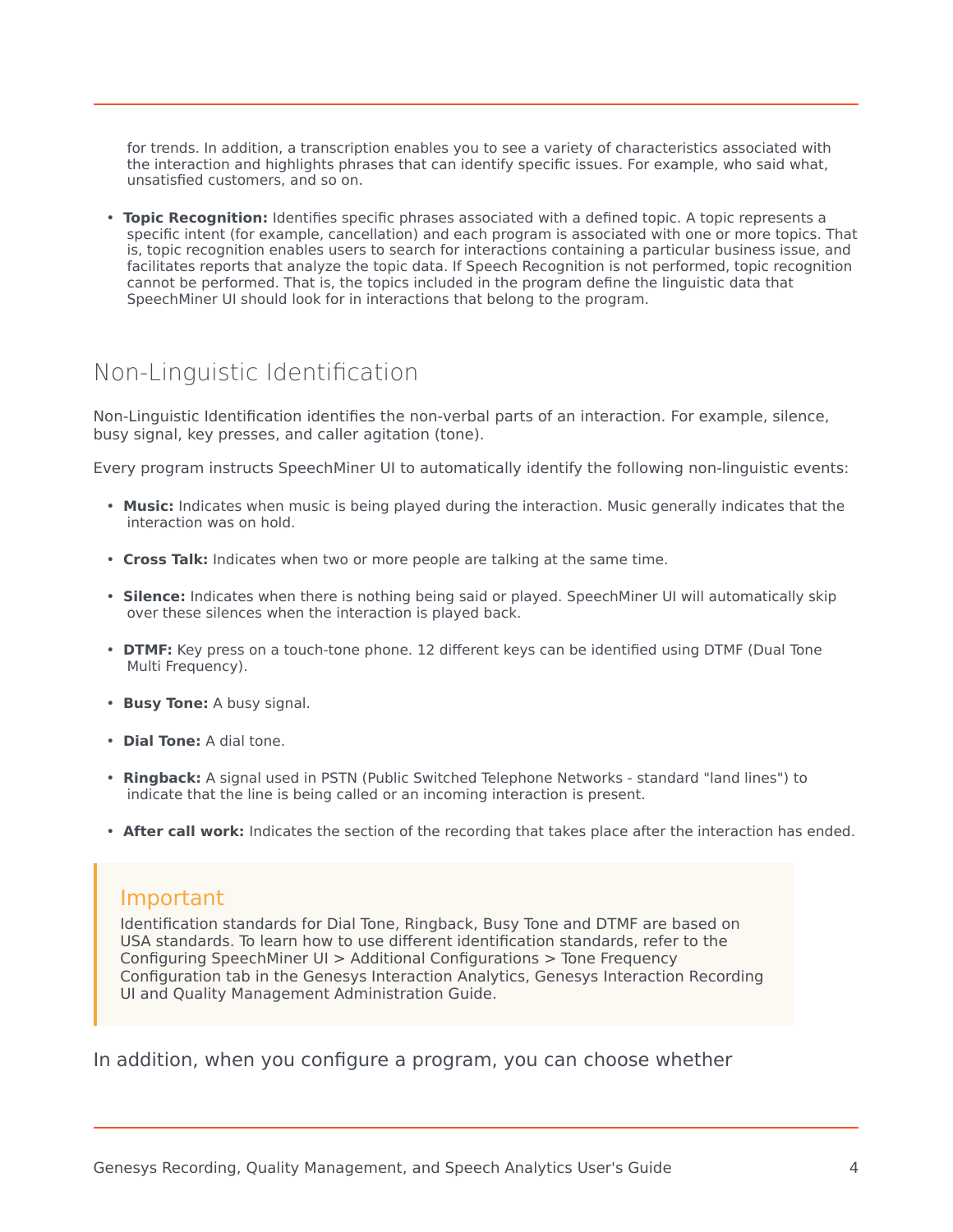for trends. In addition, a transcription enables you to see a variety of characteristics associated with the interaction and highlights phrases that can identify specific issues. For example, who said what, unsatisfied customers, and so on.

• **Topic Recognition:** Identifies specific phrases associated with a defined topic. A topic represents a specific intent (for example, cancellation) and each program is associated with one or more topics. That is, topic recognition enables users to search for interactions containing a particular business issue, and facilitates reports that analyze the topic data. If Speech Recognition is not performed, topic recognition cannot be performed. That is, the topics included in the program define the linguistic data that SpeechMiner UI should look for in interactions that belong to the program.

## <span id="page-3-0"></span>Non-Linguistic Identification

Non-Linguistic Identification identifies the non-verbal parts of an interaction. For example, silence, busy signal, key presses, and caller agitation (tone).

Every program instructs SpeechMiner UI to automatically identify the following non-linguistic events:

- **Music:** Indicates when music is being played during the interaction. Music generally indicates that the interaction was on hold.
- **Cross Talk:** Indicates when two or more people are talking at the same time.
- **Silence:** Indicates when there is nothing being said or played. SpeechMiner UI will automatically skip over these silences when the interaction is played back.
- **DTMF:** Key press on a touch-tone phone. 12 different keys can be identified using DTMF (Dual Tone Multi Frequency).
- **Busy Tone:** A busy signal.
- **Dial Tone:** A dial tone.
- **Ringback:** A signal used in PSTN (Public Switched Telephone Networks standard "land lines") to indicate that the line is being called or an incoming interaction is present.
- **After call work:** Indicates the section of the recording that takes place after the interaction has ended.

#### Important

Identification standards for Dial Tone, Ringback, Busy Tone and DTMF are based on USA standards. To learn how to use different identification standards, refer to the Configuring SpeechMiner UI > Additional Configurations > Tone Frequency Configuration tab in the Genesys Interaction Analytics, Genesys Interaction Recording UI and Quality Management Administration Guide.

In addition, when you configure a program, you can choose whether